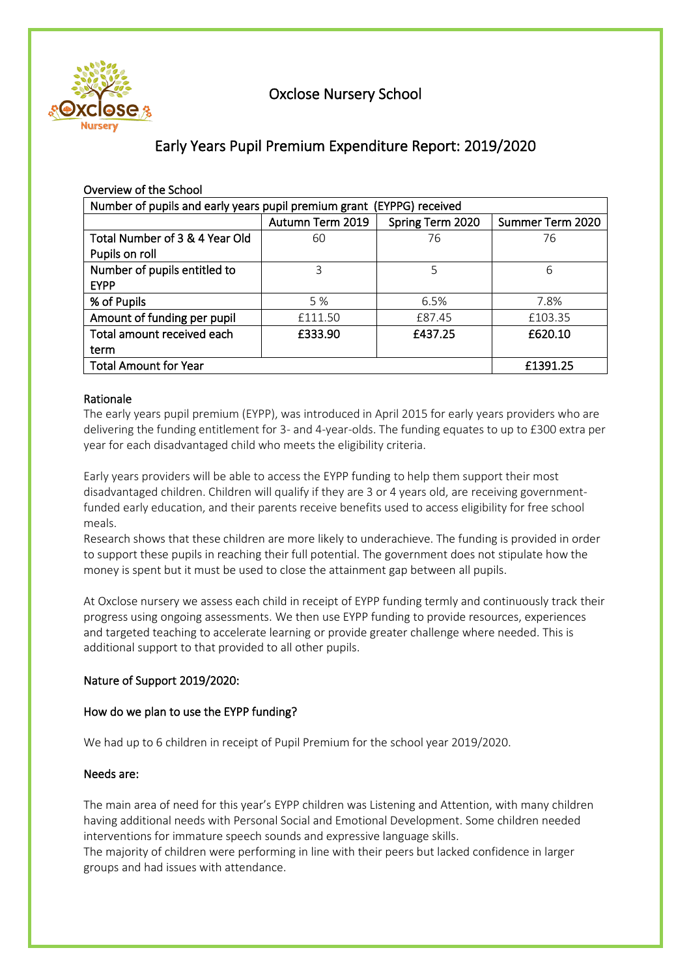

# Oxclose Nursery School

# Early Years Pupil Premium Expenditure Report: 2019/2020

| Overview of the School                                                |                  |                  |                  |  |  |
|-----------------------------------------------------------------------|------------------|------------------|------------------|--|--|
| Number of pupils and early years pupil premium grant (EYPPG) received |                  |                  |                  |  |  |
|                                                                       | Autumn Term 2019 | Spring Term 2020 | Summer Term 2020 |  |  |
| Total Number of 3 & 4 Year Old                                        | 60               | 76               | 76               |  |  |
| Pupils on roll                                                        |                  |                  |                  |  |  |
| Number of pupils entitled to                                          | 3                | 5                | 6                |  |  |
| <b>EYPP</b>                                                           |                  |                  |                  |  |  |
| % of Pupils                                                           | 5 %              | 6.5%             | 7.8%             |  |  |
| Amount of funding per pupil                                           | £111.50          | £87.45           | £103.35          |  |  |
| Total amount received each                                            | £333.90          | £437.25          | £620.10          |  |  |
| term                                                                  |                  |                  |                  |  |  |
| <b>Total Amount for Year</b>                                          | £1391.25         |                  |                  |  |  |

# Rationale

The early years pupil premium (EYPP), was introduced in April 2015 for early years providers who are delivering the funding entitlement for 3- and 4-year-olds. The funding equates to up to £300 extra per year for each disadvantaged child who meets the eligibility criteria.

Early years providers will be able to access the EYPP funding to help them support their most disadvantaged children. Children will qualify if they are 3 or 4 years old, are receiving governmentfunded early education, and their parents receive benefits used to access eligibility for free school meals.

Research shows that these children are more likely to underachieve. The funding is provided in order to support these pupils in reaching their full potential. The government does not stipulate how the money is spent but it must be used to close the attainment gap between all pupils.

At Oxclose nursery we assess each child in receipt of EYPP funding termly and continuously track their progress using ongoing assessments. We then use EYPP funding to provide resources, experiences and targeted teaching to accelerate learning or provide greater challenge where needed. This is additional support to that provided to all other pupils.

# Nature of Support 2019/2020:

# How do we plan to use the EYPP funding?

We had up to 6 children in receipt of Pupil Premium for the school year 2019/2020.

#### Needs are:

The main area of need for this year's EYPP children was Listening and Attention, with many children having additional needs with Personal Social and Emotional Development. Some children needed interventions for immature speech sounds and expressive language skills.

The majority of children were performing in line with their peers but lacked confidence in larger groups and had issues with attendance.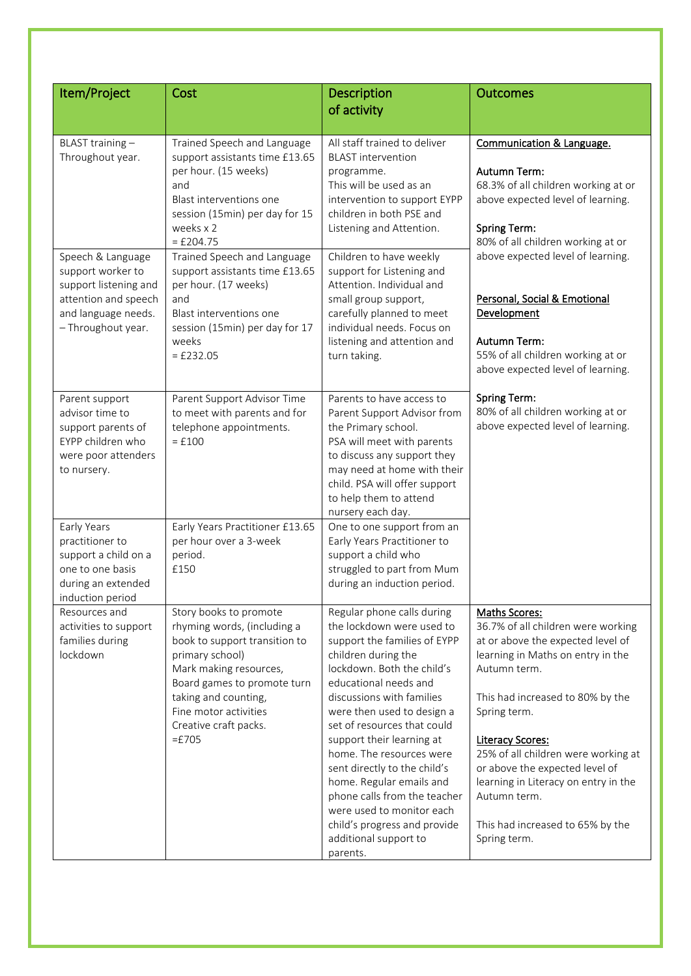| Item/Project                                                                                                                         | Cost                                                                                                                                                                                                                                                     | Description                                                                                                                                                                                                                                                                                                                                                                                                                                                                                                | <b>Outcomes</b>                                                                                                                                                                                                                                                                                                                                                                                                   |  |  |  |  |
|--------------------------------------------------------------------------------------------------------------------------------------|----------------------------------------------------------------------------------------------------------------------------------------------------------------------------------------------------------------------------------------------------------|------------------------------------------------------------------------------------------------------------------------------------------------------------------------------------------------------------------------------------------------------------------------------------------------------------------------------------------------------------------------------------------------------------------------------------------------------------------------------------------------------------|-------------------------------------------------------------------------------------------------------------------------------------------------------------------------------------------------------------------------------------------------------------------------------------------------------------------------------------------------------------------------------------------------------------------|--|--|--|--|
|                                                                                                                                      |                                                                                                                                                                                                                                                          | of activity                                                                                                                                                                                                                                                                                                                                                                                                                                                                                                |                                                                                                                                                                                                                                                                                                                                                                                                                   |  |  |  |  |
|                                                                                                                                      |                                                                                                                                                                                                                                                          |                                                                                                                                                                                                                                                                                                                                                                                                                                                                                                            |                                                                                                                                                                                                                                                                                                                                                                                                                   |  |  |  |  |
| BLAST training-<br>Throughout year.                                                                                                  | Trained Speech and Language<br>support assistants time £13.65<br>per hour. (15 weeks)<br>and<br>Blast interventions one<br>session (15min) per day for 15<br>weeks x 2<br>$=$ £204.75                                                                    | All staff trained to deliver<br><b>BLAST</b> intervention<br>programme.<br>This will be used as an<br>intervention to support EYPP<br>children in both PSE and<br>Listening and Attention.                                                                                                                                                                                                                                                                                                                 | Communication & Language.<br>Autumn Term:<br>68.3% of all children working at or<br>above expected level of learning.<br><b>Spring Term:</b><br>80% of all children working at or                                                                                                                                                                                                                                 |  |  |  |  |
| Speech & Language<br>support worker to<br>support listening and<br>attention and speech<br>and language needs.<br>- Throughout year. | Trained Speech and Language<br>support assistants time £13.65<br>per hour. (17 weeks)<br>and<br>Blast interventions one<br>session (15min) per day for 17<br>weeks<br>$=$ £232.05                                                                        | Children to have weekly<br>support for Listening and<br>Attention. Individual and<br>small group support,<br>carefully planned to meet<br>individual needs. Focus on<br>listening and attention and<br>turn taking.                                                                                                                                                                                                                                                                                        | above expected level of learning.<br>Personal, Social & Emotional<br>Development<br>Autumn Term:<br>55% of all children working at or<br>above expected level of learning.                                                                                                                                                                                                                                        |  |  |  |  |
| Parent support<br>advisor time to<br>support parents of<br>EYPP children who<br>were poor attenders<br>to nursery.                   | Parent Support Advisor Time<br>to meet with parents and for<br>telephone appointments.<br>$=$ £100<br>Early Years Practitioner £13.65<br>Early Years                                                                                                     |                                                                                                                                                                                                                                                                                                                                                                                                                                                                                                            | <b>Spring Term:</b><br>80% of all children working at or<br>above expected level of learning.                                                                                                                                                                                                                                                                                                                     |  |  |  |  |
| practitioner to<br>support a child on a<br>one to one basis<br>during an extended<br>induction period                                | per hour over a 3-week<br>period.<br>£150                                                                                                                                                                                                                | One to one support from an<br>Early Years Practitioner to<br>support a child who<br>struggled to part from Mum<br>during an induction period.                                                                                                                                                                                                                                                                                                                                                              |                                                                                                                                                                                                                                                                                                                                                                                                                   |  |  |  |  |
| Resources and<br>activities to support<br>families during<br>lockdown                                                                | Story books to promote<br>rhyming words, (including a<br>book to support transition to<br>primary school)<br>Mark making resources,<br>Board games to promote turn<br>taking and counting,<br>Fine motor activities<br>Creative craft packs.<br>$=$ £705 | Regular phone calls during<br>the lockdown were used to<br>support the families of EYPP<br>children during the<br>lockdown. Both the child's<br>educational needs and<br>discussions with families<br>were then used to design a<br>set of resources that could<br>support their learning at<br>home. The resources were<br>sent directly to the child's<br>home. Regular emails and<br>phone calls from the teacher<br>were used to monitor each<br>child's progress and provide<br>additional support to | Maths Scores:<br>36.7% of all children were working<br>at or above the expected level of<br>learning in Maths on entry in the<br>Autumn term.<br>This had increased to 80% by the<br>Spring term.<br><b>Literacy Scores:</b><br>25% of all children were working at<br>or above the expected level of<br>learning in Literacy on entry in the<br>Autumn term.<br>This had increased to 65% by the<br>Spring term. |  |  |  |  |